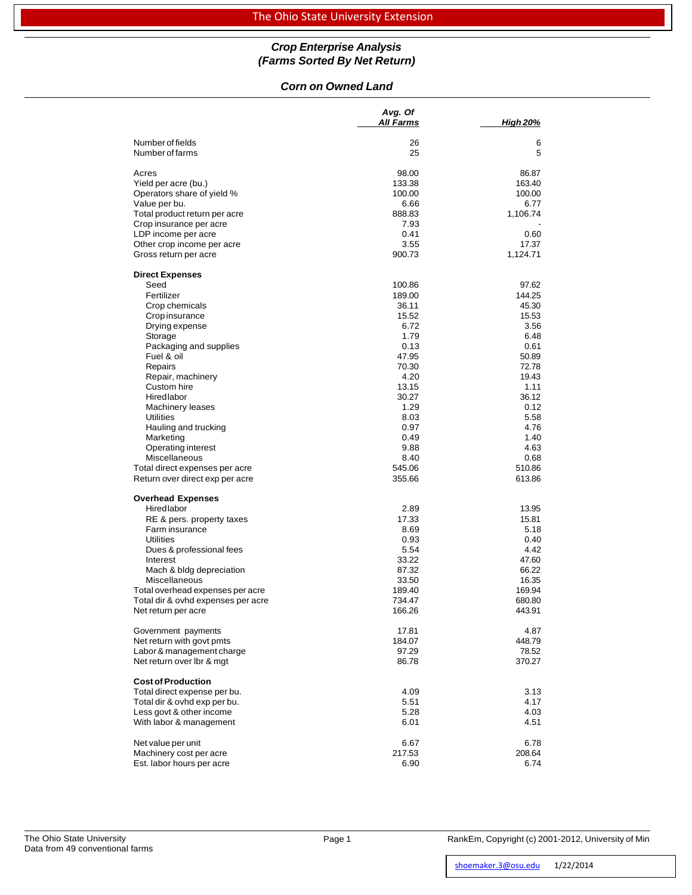### *Crop Enterprise Analysis (Farms Sorted By Net Return)*

### *Corn on Owned Land*

|                                      | Avg. Of      |                 |
|--------------------------------------|--------------|-----------------|
|                                      | All Farms    | <b>High 20%</b> |
| Number of fields                     | 26           | 6               |
| Number of farms                      | 25           | 5               |
| Acres                                | 98.00        | 86.87           |
| Yield per acre (bu.)                 | 133.38       | 163.40          |
| Operators share of yield %           | 100.00       | 100.00          |
| Value per bu.                        | 6.66         | 6.77            |
| Total product return per acre        | 888.83       | 1,106.74        |
| Crop insurance per acre              | 7.93         |                 |
| LDP income per acre                  | 0.41         | 0.60            |
| Other crop income per acre           | 3.55         | 17.37           |
| Gross return per acre                | 900.73       | 1,124.71        |
| <b>Direct Expenses</b>               |              |                 |
| Seed                                 | 100.86       | 97.62           |
| Fertilizer                           | 189.00       | 144.25          |
| Crop chemicals                       | 36.11        | 45.30           |
| <b>Crop insurance</b>                | 15.52        | 15.53           |
| Drying expense                       | 6.72         | 3.56            |
| Storage                              | 1.79         | 6.48            |
| Packaging and supplies               | 0.13         | 0.61            |
| Fuel & oil                           | 47.95        | 50.89           |
| Repairs                              | 70.30        | 72.78           |
| Repair, machinery                    | 4.20         | 19.43           |
| Custom hire                          | 13.15        | 1.11            |
| Hiredlabor                           | 30.27        | 36.12           |
| <b>Machinery leases</b><br>Utilities | 1.29<br>8.03 | 0.12<br>5.58    |
| Hauling and trucking                 | 0.97         | 4.76            |
| Marketing                            | 0.49         | 1.40            |
| Operating interest                   | 9.88         | 4.63            |
| Miscellaneous                        | 8.40         | 0.68            |
| Total direct expenses per acre       | 545.06       | 510.86          |
| Return over direct exp per acre      | 355.66       | 613.86          |
| <b>Overhead Expenses</b>             |              |                 |
| Hiredlabor                           | 2.89         | 13.95           |
| RE & pers. property taxes            | 17.33        | 15.81           |
| Farm insurance                       | 8.69         | 5.18            |
| Utilities                            | 0.93         | 0.40            |
| Dues & professional fees             | 5.54         | 4.42            |
| Interest                             | 33.22        | 47.60           |
| Mach & bldg depreciation             | 87.32        | 66.22           |
| Miscellaneous                        | 33.50        | 16.35           |
| Total overhead expenses per acre     | 189.40       | 169.94          |
| Total dir & ovhd expenses per acre   | 734.47       | 680.80          |
| Net return per acre                  | 166.26       | 443.91          |
| Government payments                  | 17.81        | 4.87            |
| Net return with govt pmts            | 184.07       | 448.79          |
| Labor & management charge            | 97.29        | 78.52           |
| Net return over lbr & mgt            | 86.78        | 370.27          |
| <b>Cost of Production</b>            |              |                 |
| Total direct expense per bu.         | 4.09         | 3.13            |
| Total dir & ovhd exp per bu.         | 5.51         | 4.17            |
| Less govt & other income             | 5.28         | 4.03            |
| With labor & management              | 6.01         | 4.51            |
| Net value per unit                   | 6.67         | 6.78            |
| Machinery cost per acre              | 217.53       | 208.64          |
| Est. labor hours per acre            | 6.90         | 6.74            |

Page 1 RankEm, Copyright (c) 2001-2012, University of Min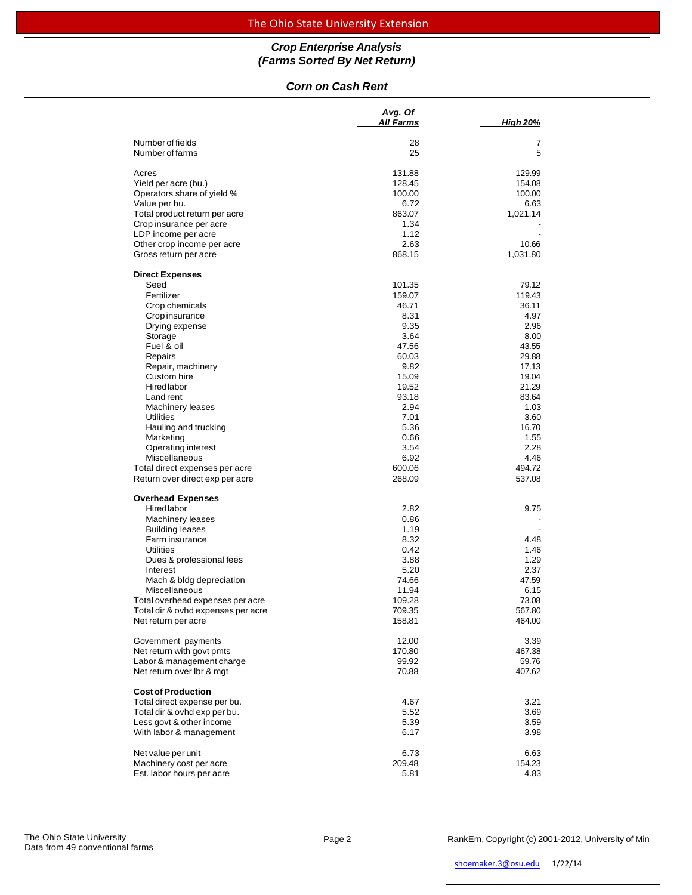# The Ohio State University Extension

# *Crop Enterprise Analysis (Farms Sorted By Net Return)*

### *Corn on Cash Rent*

|                                      | Avg. Of<br>All Farms | <b>High 20%</b> |
|--------------------------------------|----------------------|-----------------|
|                                      |                      |                 |
| Number of fields                     | 28                   | 7               |
| Number of farms                      | 25                   | 5               |
| Acres                                | 131.88               | 129.99          |
| Yield per acre (bu.)                 | 128.45               | 154.08          |
| Operators share of yield %           | 100.00               | 100.00          |
| Value per bu.                        | 6.72                 | 6.63            |
| Total product return per acre        | 863.07               | 1,021.14        |
| Crop insurance per acre              | 1.34                 |                 |
| LDP income per acre                  | 1.12                 |                 |
| Other crop income per acre           | 2.63                 | 10.66           |
| Gross return per acre                | 868.15               | 1,031.80        |
| <b>Direct Expenses</b>               |                      |                 |
| Seed                                 | 101.35               | 79.12           |
| Fertilizer                           | 159.07               | 119.43          |
| Crop chemicals                       | 46.71                | 36.11           |
| Crop insurance                       | 8.31                 | 4.97            |
| Drying expense                       | 9.35                 | 2.96            |
| Storage                              | 3.64                 | 8.00            |
| Fuel & oil                           | 47.56                | 43.55           |
| Repairs                              | 60.03                | 29.88           |
| Repair, machinery                    | 9.82                 | 17.13           |
| Custom hire                          | 15.09                | 19.04           |
| Hiredlabor                           | 19.52                | 21.29           |
| Land rent                            | 93.18                | 83.64<br>1.03   |
| Machinery leases<br><b>Utilities</b> | 2.94<br>7.01         | 3.60            |
| Hauling and trucking                 | 5.36                 | 16.70           |
| Marketing                            | 0.66                 | 1.55            |
| Operating interest                   | 3.54                 | 2.28            |
| Miscellaneous                        | 6.92                 | 4.46            |
| Total direct expenses per acre       | 600.06               | 494.72          |
| Return over direct exp per acre      | 268.09               | 537.08          |
| <b>Overhead Expenses</b>             |                      |                 |
| Hiredlabor                           | 2.82                 | 9.75            |
| Machinery leases                     | 0.86                 |                 |
| <b>Building leases</b>               | 1.19                 |                 |
| Farm insurance                       | 8.32                 | 4.48            |
| <b>Utilities</b>                     | 0.42                 | 1.46            |
| Dues & professional fees             | 3.88                 | 1.29            |
| Interest                             | 5.20                 | 2.37            |
| Mach & bldg depreciation             | 74.66                | 47.59           |
| Miscellaneous                        | 11.94                | 6.15            |
| Total overhead expenses per acre     | 109.28               | 73.08           |
| Total dir & ovhd expenses per acre   | 709.35               | 567.80          |
| Net return per acre                  | 158.81               | 464.00          |
| Government payments                  | 12.00                | 3.39            |
| Net return with govt pmts            | 170.80               | 467.38          |
| Labor & management charge            | 99.92                | 59.76           |
| Net return over Ibr & mgt            | 70.88                | 407.62          |
| <b>Cost of Production</b>            |                      |                 |
| Total direct expense per bu.         | 4.67                 | 3.21            |
| Total dir & ovhd exp per bu.         | 5.52                 | 3.69            |
| Less govt & other income             | 5.39                 | 3.59            |
| With labor & management              | 6.17                 | 3.98            |
| Net value per unit                   | 6.73                 | 6.63            |
| Machinery cost per acre              | 209.48               | 154.23          |
| Est. labor hours per acre            | 5.81                 | 4.83            |

Page 2 RankEm, Copyright (c) 2001-2012, University of Min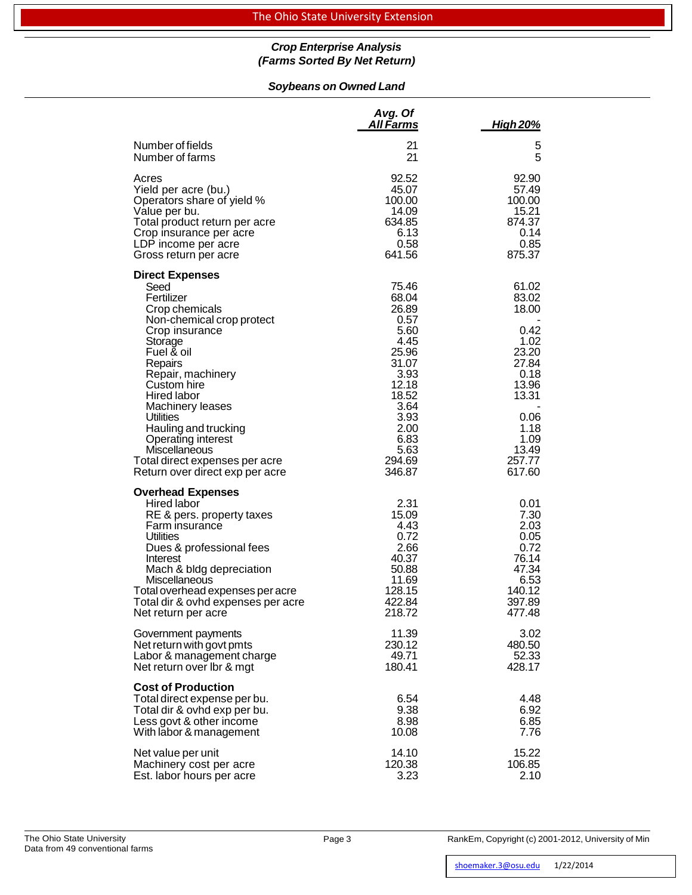### *Crop Enterprise Analysis (Farms Sorted By Net Return)*

# *Soybeans on Owned Land*

|                                                                                                                                                                                                                                                                                                                                                                                         | Avg. Of<br>All Farms                                                                                                                                    | <u>High 20%</u>                                                                                                                          |
|-----------------------------------------------------------------------------------------------------------------------------------------------------------------------------------------------------------------------------------------------------------------------------------------------------------------------------------------------------------------------------------------|---------------------------------------------------------------------------------------------------------------------------------------------------------|------------------------------------------------------------------------------------------------------------------------------------------|
| Number of fields                                                                                                                                                                                                                                                                                                                                                                        | 21                                                                                                                                                      | 5                                                                                                                                        |
| Number of farms                                                                                                                                                                                                                                                                                                                                                                         | 21                                                                                                                                                      | 5                                                                                                                                        |
| Acres                                                                                                                                                                                                                                                                                                                                                                                   | 92.52                                                                                                                                                   | 92.90                                                                                                                                    |
| Yield per acre (bu.)                                                                                                                                                                                                                                                                                                                                                                    | 45.07                                                                                                                                                   | 57.49                                                                                                                                    |
| Operators share of yield %                                                                                                                                                                                                                                                                                                                                                              | 100.00                                                                                                                                                  | 100.00                                                                                                                                   |
| Value per bu.                                                                                                                                                                                                                                                                                                                                                                           | 14.09                                                                                                                                                   | 15.21                                                                                                                                    |
| Total product return per acre                                                                                                                                                                                                                                                                                                                                                           | 634.85                                                                                                                                                  | 874.37                                                                                                                                   |
| Crop insurance per acre                                                                                                                                                                                                                                                                                                                                                                 | 6.13                                                                                                                                                    | 0.14                                                                                                                                     |
| LDP income per acre                                                                                                                                                                                                                                                                                                                                                                     | 0.58                                                                                                                                                    | 0.85                                                                                                                                     |
| Gross return per acre                                                                                                                                                                                                                                                                                                                                                                   | 641.56                                                                                                                                                  | 875.37                                                                                                                                   |
| <b>Direct Expenses</b><br>Seed<br>Fertilizer<br>Crop chemicals<br>Non-chemical crop protect<br>Crop insurance<br>Storage<br>Fuel & oil<br>Repairs<br>Repair, machinery<br>Custom hire<br>Hired labor<br>Machinery leases<br><b>Utilities</b><br>Hauling and trucking<br><b>Operating interest</b><br>Miscellaneous<br>Total direct expenses per acre<br>Return over direct exp per acre | 75.46<br>68.04<br>26.89<br>0.57<br>5.60<br>4.45<br>25.96<br>31.07<br>3.93<br>12.18<br>18.52<br>3.64<br>3.93<br>2.00<br>6.83<br>5.63<br>294.69<br>346.87 | 61.02<br>83.02<br>18.00<br>0.42<br>1.02<br>23.20<br>27.84<br>0.18<br>13.96<br>13.31<br>0.06<br>1.18<br>1.09<br>13.49<br>257.77<br>617.60 |
| <b>Overhead Expenses</b><br>Hired labor<br>RE & pers. property taxes<br>Farm insurance<br><b>Utilities</b><br>Dues & professional fees<br>Interest<br>Mach & bldg depreciation<br><b>Miscellaneous</b><br>Total overhead expenses per acre<br>Total dir & ovhd expenses per acre<br>Net return per acre                                                                                 | 2.31<br>15.09<br>4.43<br>0.72<br>2.66<br>40.37<br>50.88<br>11.69<br>128.15<br>422.84<br>218.72                                                          | 0.01<br>7.30<br>2.03<br>0.05<br>0.72<br>76.14<br>47.34<br>6.53<br>140.12<br>397.89<br>477.48                                             |
| Government payments                                                                                                                                                                                                                                                                                                                                                                     | 11.39                                                                                                                                                   | 3.02                                                                                                                                     |
| Net return with govt pmts                                                                                                                                                                                                                                                                                                                                                               | 230.12                                                                                                                                                  | 480.50                                                                                                                                   |
| Labor & management charge                                                                                                                                                                                                                                                                                                                                                               | 49.71                                                                                                                                                   | 52.33                                                                                                                                    |
| Net return over Ibr & mgt                                                                                                                                                                                                                                                                                                                                                               | 180.41                                                                                                                                                  | 428.17                                                                                                                                   |
| <b>Cost of Production</b><br>Total direct expense per bu.<br>Total dir & ovhd exp per bu.<br>Less govt & other income<br>With labor & management                                                                                                                                                                                                                                        | 6.54<br>9.38<br>8.98<br>10.08                                                                                                                           | 4.48<br>6.92<br>6.85<br>7.76                                                                                                             |
| Net value per unit                                                                                                                                                                                                                                                                                                                                                                      | 14.10                                                                                                                                                   | 15.22                                                                                                                                    |
| Machinery cost per acre                                                                                                                                                                                                                                                                                                                                                                 | 120.38                                                                                                                                                  | 106.85                                                                                                                                   |
| Est. labor hours per acre                                                                                                                                                                                                                                                                                                                                                               | 3.23                                                                                                                                                    | 2.10                                                                                                                                     |

Page 3 RankEm, Copyright (c) 2001-2012, University of Min